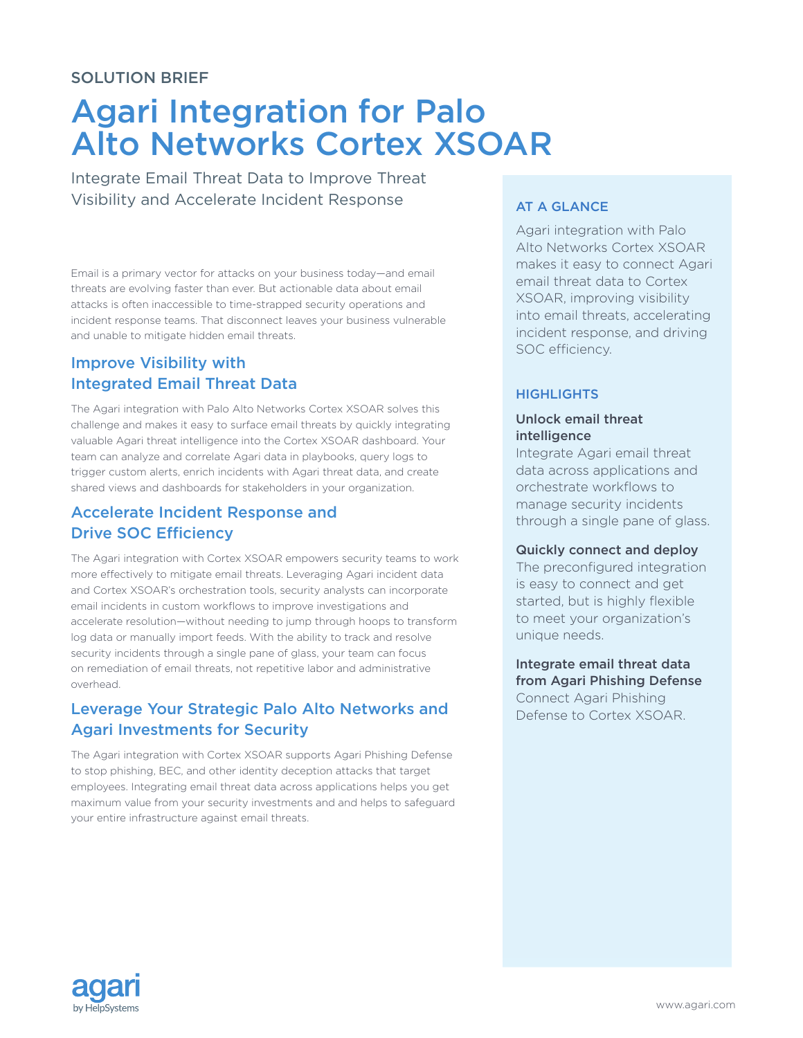## SOLUTION BRIEF

# Agari Integration for Palo Alto Networks Cortex XSOAR

Integrate Email Threat Data to Improve Threat Visibility and Accelerate Incident Response

Email is a primary vector for attacks on your business today—and email threats are evolving faster than ever. But actionable data about email attacks is often inaccessible to time-strapped security operations and incident response teams. That disconnect leaves your business vulnerable and unable to mitigate hidden email threats.

# Improve Visibility with Integrated Email Threat Data

The Agari integration with Palo Alto Networks Cortex XSOAR solves this challenge and makes it easy to surface email threats by quickly integrating valuable Agari threat intelligence into the Cortex XSOAR dashboard. Your team can analyze and correlate Agari data in playbooks, query logs to trigger custom alerts, enrich incidents with Agari threat data, and create shared views and dashboards for stakeholders in your organization.

# Accelerate Incident Response and Drive SOC Efficiency

The Agari integration with Cortex XSOAR empowers security teams to work more effectively to mitigate email threats. Leveraging Agari incident data and Cortex XSOAR's orchestration tools, security analysts can incorporate email incidents in custom workflows to improve investigations and accelerate resolution—without needing to jump through hoops to transform log data or manually import feeds. With the ability to track and resolve security incidents through a single pane of glass, your team can focus on remediation of email threats, not repetitive labor and administrative overhead.

# Leverage Your Strategic Palo Alto Networks and Agari Investments for Security

The Agari integration with Cortex XSOAR supports Agari Phishing Defense to stop phishing, BEC, and other identity deception attacks that target employees. Integrating email threat data across applications helps you get maximum value from your security investments and and helps to safeguard your entire infrastructure against email threats.

## AT A GLANCE

Agari integration with Palo Alto Networks Cortex XSOAR makes it easy to connect Agari email threat data to Cortex XSOAR, improving visibility into email threats, accelerating incident response, and driving SOC efficiency.

### **HIGHLIGHTS**

#### Unlock email threat intelligence

Integrate Agari email threat data across applications and orchestrate workflows to manage security incidents through a single pane of glass.

#### Quickly connect and deploy

The preconfigured integration is easy to connect and get started, but is highly flexible to meet your organization's unique needs.

Integrate email threat data from Agari Phishing Defense Connect Agari Phishing Defense to Cortex XSOAR.

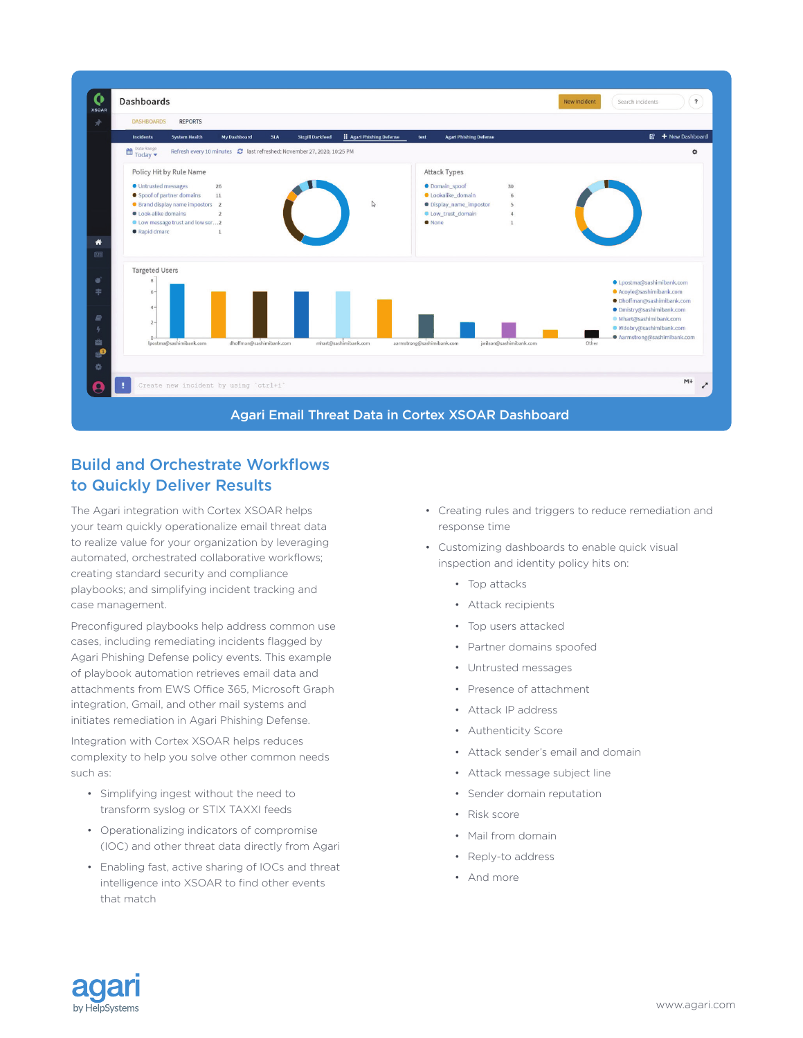

# Build and Orchestrate Workflows to Quickly Deliver Results

The Agari integration with Cortex XSOAR helps your team quickly operationalize email threat data to realize value for your organization by leveraging automated, orchestrated collaborative workflows; creating standard security and compliance playbooks; and simplifying incident tracking and case management.

Preconfigured playbooks help address common use cases, including remediating incidents flagged by Agari Phishing Defense policy events. This example of playbook automation retrieves email data and attachments from EWS Office 365, Microsoft Graph integration, Gmail, and other mail systems and initiates remediation in Agari Phishing Defense.

Integration with Cortex XSOAR helps reduces complexity to help you solve other common needs such as:

- Simplifying ingest without the need to transform syslog or STIX TAXXI feeds
- Operationalizing indicators of compromise (IOC) and other threat data directly from Agari
- Enabling fast, active sharing of IOCs and threat intelligence into XSOAR to find other events that match
- Creating rules and triggers to reduce remediation and response time
- Customizing dashboards to enable quick visual inspection and identity policy hits on:
	- Top attacks
	- Attack recipients
	- Top users attacked
	- Partner domains spoofed
	- Untrusted messages
	- Presence of attachment
	- Attack IP address
	- Authenticity Score
	- Attack sender's email and domain
	- Attack message subject line
	- Sender domain reputation
	- Risk score
	- Mail from domain
	- Reply-to address
	- And more